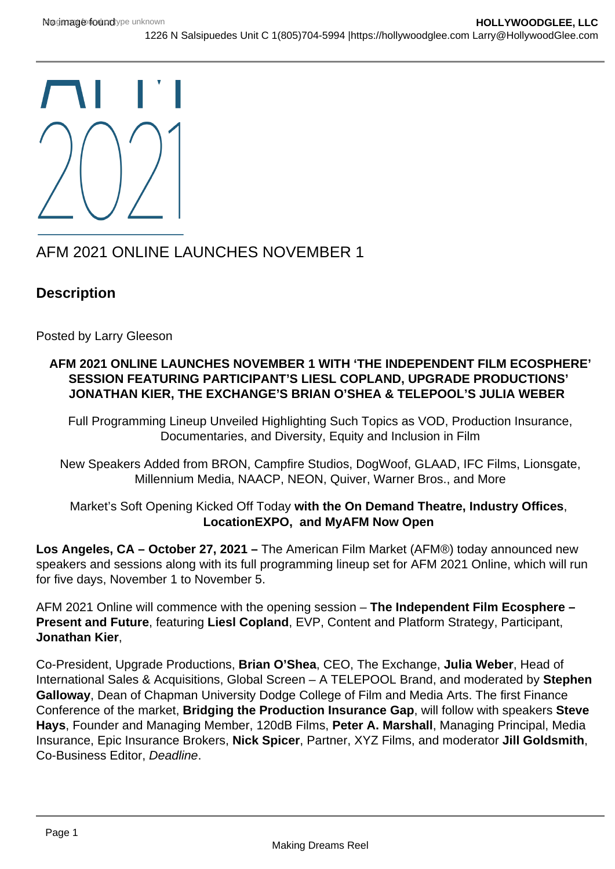$\blacksquare$ 

## AFM 2021 ONLINE LAUNCHES NOVEMBER 1

## **Description**

Posted by Larry Gleeson

## **AFM 2021 ONLINE LAUNCHES NOVEMBER 1 WITH 'THE INDEPENDENT FILM ECOSPHERE' SESSION FEATURING PARTICIPANT'S LIESL COPLAND, UPGRADE PRODUCTIONS' JONATHAN KIER, THE EXCHANGE'S BRIAN O'SHEA & TELEPOOL'S JULIA WEBER**

Full Programming Lineup Unveiled Highlighting Such Topics as VOD, Production Insurance, Documentaries, and Diversity, Equity and Inclusion in Film

New Speakers Added from BRON, Campfire Studios, DogWoof, GLAAD, IFC Films, Lionsgate, Millennium Media, NAACP, NEON, Quiver, Warner Bros., and More

Market's Soft Opening Kicked Off Today **with the On Demand Theatre, Industry Offices**, **LocationEXPO, and MyAFM Now Open** 

**Los Angeles, CA – October 27, 2021 –** The American Film Market (AFM®) today announced new speakers and sessions along with its full programming lineup set for AFM 2021 Online, which will run for five days, November 1 to November 5.

AFM 2021 Online will commence with the opening session – **The Independent Film Ecosphere – Present and Future**, featuring **Liesl Copland**, EVP, Content and Platform Strategy, Participant, **Jonathan Kier**,

Co-President, Upgrade Productions, **Brian O'Shea**, CEO, The Exchange, **Julia Weber**, Head of International Sales & Acquisitions, Global Screen – A TELEPOOL Brand, and moderated by **Stephen Galloway**, Dean of Chapman University Dodge College of Film and Media Arts. The first Finance Conference of the market, **Bridging the Production Insurance Gap**, will follow with speakers **Steve Hays**, Founder and Managing Member, 120dB Films, **Peter A. Marshall**, Managing Principal, Media Insurance, Epic Insurance Brokers, **Nick Spicer**, Partner, XYZ Films, and moderator **Jill Goldsmith**, Co-Business Editor, Deadline.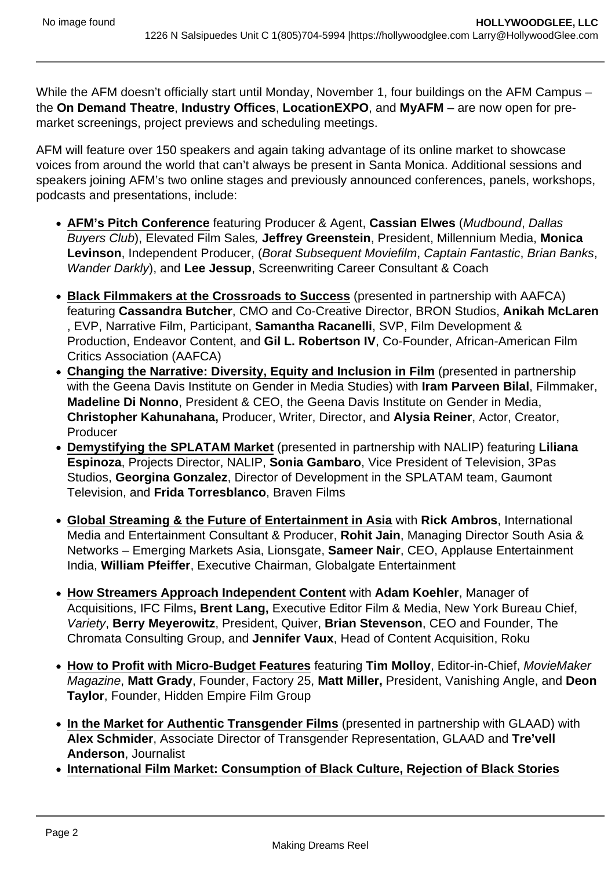While the AFM doesn't officially start until Monday, November 1, four buildings on the AFM Campus – the **On Demand Theatre**, **Industry Offices**, **LocationEXPO**, and **MyAFM** – are now open for premarket screenings, project previews and scheduling meetings.

AFM will feature over 150 speakers and again taking advantage of its online market to showcase voices from around the world that can't always be present in Santa Monica. Additional sessions and speakers joining AFM's two online stages and previously announced conferences, panels, workshops, podcasts and presentations, include:

- **AFM's Pitch Conference** featuring Producer & Agent, **Cassian Elwes** (Mudbound, Dallas Buyers Club), Elevated Film Sales, **Jeffrey Greenstein**, President, Millennium Media, **Monica Levinson**, Independent Producer, (Borat Subsequent Moviefilm, Captain Fantastic, Brian Banks, Wander Darkly), and **Lee Jessup**, Screenwriting Career Consultant & Coach
- **Black Filmmakers at the Crossroads to Success** (presented in partnership with AAFCA) featuring **Cassandra Butcher**, CMO and Co-Creative Director, BRON Studios, **Anikah McLaren** , EVP, Narrative Film, Participant, **Samantha Racanelli**, SVP, Film Development & Production, Endeavor Content, and **Gil L. Robertson IV**, Co-Founder, African-American Film Critics Association (AAFCA)
- **Changing the Narrative: Diversity, Equity and Inclusion in Film** (presented in partnership with the Geena Davis Institute on Gender in Media Studies) with **Iram Parveen Bilal**, Filmmaker, **Madeline Di Nonno**, President & CEO, the Geena Davis Institute on Gender in Media, **Christopher Kahunahana,** Producer, Writer, Director, and **Alysia Reiner**, Actor, Creator, Producer
- **Demystifying the SPLATAM Market** (presented in partnership with NALIP) featuring **Liliana Espinoza**, Projects Director, NALIP, **Sonia Gambaro**, Vice President of Television, 3Pas Studios, **Georgina Gonzalez**, Director of Development in the SPLATAM team, Gaumont Television, and **Frida Torresblanco**, Braven Films
- **Global Streaming & the Future of Entertainment in Asia** with **Rick Ambros**, International Media and Entertainment Consultant & Producer, **Rohit Jain**, Managing Director South Asia & Networks – Emerging Markets Asia, Lionsgate, **Sameer Nair**, CEO, Applause Entertainment India, **William Pfeiffer**, Executive Chairman, Globalgate Entertainment
- **How Streamers Approach Independent Content** with **Adam Koehler**, Manager of Acquisitions, IFC Films**, Brent Lang,** Executive Editor Film & Media, New York Bureau Chief, Variety, **Berry Meyerowitz**, President, Quiver, **Brian Stevenson**, CEO and Founder, The Chromata Consulting Group, and **Jennifer Vaux**, Head of Content Acquisition, Roku
- **How to Profit with Micro-Budget Features** featuring **Tim Molloy**, Editor-in-Chief, MovieMaker Magazine, **Matt Grady**, Founder, Factory 25, **Matt Miller,** President, Vanishing Angle, and **Deon Taylor**, Founder, Hidden Empire Film Group
- **In the Market for Authentic Transgender Films** (presented in partnership with GLAAD) with **Alex Schmider**, Associate Director of Transgender Representation, GLAAD and **Tre'vell Anderson**, Journalist
- **International Film Market: Consumption of Black Culture, Rejection of Black Stories**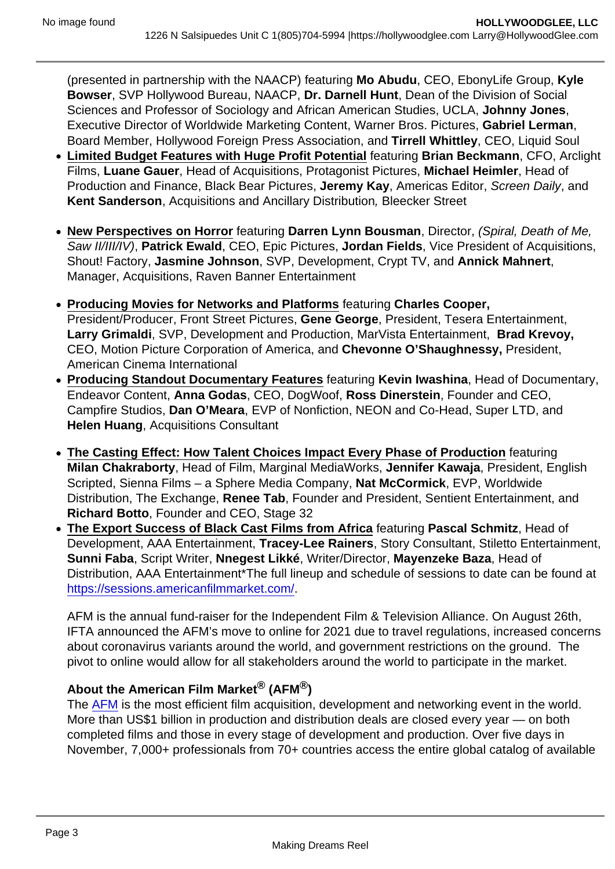(presented in partnership with the NAACP) featuring Mo Abudu , CEO, EbonyLife Group, Kyle Bowser , SVP Hollywood Bureau, NAACP, Dr. Darnell Hunt , Dean of the Division of Social Sciences and Professor of Sociology and African American Studies, UCLA, Johnny Jones , Executive Director of Worldwide Marketing Content, Warner Bros. Pictures, Gabriel Lerman , Board Member, Hollywood Foreign Press Association, and Tirrell Whittley , CEO, Liquid Soul

- Limited Budget Features with Huge Profit Potential featuring Brian Beckmann, CFO, Arclight Films, Luane Gauer , Head of Acquisitions, Protagonist Pictures, Michael Heimler , Head of Production and Finance, Black Bear Pictures, Jeremy Kay , Americas Editor, Screen Daily, and Kent Sanderson , Acquisitions and Ancillary Distribution, Bleecker Street
- New Perspectives on Horror featuring Darren Lynn Bousman, Director, (Spiral, Death of Me, Saw II/III/IV), Patrick Ewald , CEO, Epic Pictures, Jordan Fields , Vice President of Acquisitions, Shout! Factory, Jasmine Johnson , SVP, Development, Crypt TV, and Annick Mahnert , Manager, Acquisitions, Raven Banner Entertainment
- Producing Movies for Networks and Platforms featuring Charles Cooper, President/Producer, Front Street Pictures, Gene George , President, Tesera Entertainment, Larry Grimaldi , SVP, Development and Production, MarVista Entertainment, Brad Krevoy, CEO, Motion Picture Corporation of America, and Chevonne O'Shaughnessy, President, American Cinema International
- Producing Standout Documentary Features featuring Kevin Iwashina, Head of Documentary, Endeavor Content, Anna Godas , CEO, DogWoof, Ross Dinerstein , Founder and CEO, Campfire Studios, Dan O'Meara , EVP of Nonfiction, NEON and Co-Head, Super LTD, and Helen Huang , Acquisitions Consultant
- The Casting Effect: How Talent Choices Impact Every Phase of Production featuring Milan Chakraborty , Head of Film, Marginal MediaWorks, Jennifer Kawaja , President, English Scripted, Sienna Films – a Sphere Media Company, Nat McCormick , EVP, Worldwide Distribution, The Exchange, Renee Tab, Founder and President, Sentient Entertainment, and Richard Botto , Founder and CEO, Stage 32
- The Export Success of Black Cast Films from Africa featuring Pascal Schmitz, Head of Development, AAA Entertainment, Tracey-Lee Rainers , Story Consultant, Stiletto Entertainment, Sunni Faba , Script Writer, Nnegest Likké , Writer/Director, Mayenzeke Baza , Head of Distribution, AAA Entertainment\*The full lineup and schedule of sessions to date can be found at <https://sessions.americanfilmmarket.com/>.

AFM is the annual fund-raiser for the Independent Film & Television Alliance. On August 26th, IFTA announced the AFM's move to online for 2021 due to travel regulations, increased concerns about coronavirus variants around the world, and government restrictions on the ground. The pivot to online would allow for all stakeholders around the world to participate in the market.

## About the American Film Market  $\mathbb{R}$  (AFM $\mathbb{R}$ )

The [AFM](https://americanfilmmarket.com/) is the most efficient film acquisition, development and networking event in the world. More than US\$1 billion in production and distribution deals are closed every year — on both completed films and those in every stage of development and production. Over five days in November, 7,000+ professionals from 70+ countries access the entire global catalog of available